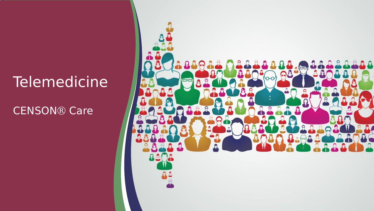### Telemedicine

CENSON® Care

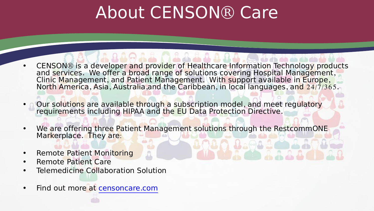# About CENSON® Care

- CENSON® is a developer and provider of Healthcare Information Technology products and services. We offer a broad range of solutions covering Hospital Management,<br>Clinic Management, and Patient Management. With support available in Europe,<br>North America, Asia, Australia, and the Caribbean, in local langu
- Our solutions are available through a subscription model, and meet regulatory requirements including HIPAA and the EU Data Protection Directive.
- We are offering three Patient Management solutions through the RestcommONE Markerplace. They are:
- Remote Patient Monitoring
- Remote Patient Care
- **Telemedicine Collaboration Solution**
- Find out more at censoncare.com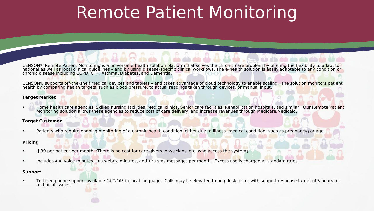# Remote Patient Monitoring

CENSON® Remote Patient Monitoring is a universal e-health solution platform that solves the chronic care problem by offering the flexibility to adapt to<br>national as well as local clinical guidelines - and by using disease-

CENSON® supports off-the-shelf medical devices and tablets – and takes advantage of cloud technology to enable scaling. The solution monitors patient health by comparing health targets, such as blood pressure, to actual readings taken through devices, or manual input.

#### **Target Market**

Home health care agencies, Skilled nursing facilities, Medical clinics, Senior care facilities, Rehabilitation hospitals, and similar. Our Remote Patient Monitoring solution allows these agencies to reduce cost of care delivery, and increase revenues through Medicare/Medicaid.

#### **Target Customer**

Patients who require ongoing monitoring of a chronic health condition, either due to illness, medical condition (such as pregnancy) or age.

#### **Pricing**

- \$39 per patient per month (There is no cost for care givers, physicians, etc. who access the system)
- Includes 400 voice minutes, 300 webrtc minutes, and 120 sms messages permonth. Excess use is charged at standard rates.

#### **Support**

• Toll free phone support available 24/7/365 in local language. Calls may be elevated to helpdesk ticket with support response target of 8 hours for technical issues.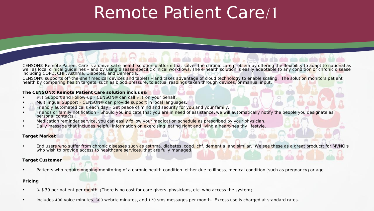# Remote Patient Care/1

CENSON® Remote Patient Care is a universal e-health solution platform that solves the chronic care problem by offering the flexibility to adapt to national as well as local clinical guidelines - and by using disease-specif including COPD, CHF, Asthma, Diabetes, and Dementia.

CENSON® supports off-the-shelf medical devices and tablets – and takes advantage of cloud technology to enable scaling. The solution monitors patient health by comparing health targets, such as blood pressure, to actual readings taken through devices, or manual input.

#### **The CENSON**® **Remote Patient Care solution includes**:

- 911 Support and Follow-up CENSON® can call 911 on your behalf.
- Multilingual Support CENSON® can provide support in local languages.
- Friendly automated calls each day Get peace of mind and security for you and your family.
- Friends or family notification Should you indicate that you are in need of assistance, we will automatically notify the people you designate as personal contacts.
- Medication reminder service, you can easily follow your medication schedule as prescribed by your physician.
- Daily message that includes helpful information on exercising, eating right and living a heart-healthy lifestyle.

#### **Target Market**

End users who suffer from chronic diseases such as asthma, diabetes, copd, chf, dementia, and similar. We see these as a great producrt for MVNO's who wish to provide access to healthcare services, that are fully managed.

#### **Target Customer**

Patients who require ongoing monitoring of a chronic health condition, either due to illness, medical condition (such as pregnancy) or age.

#### **Pricing**

- \$ \$39 per patient per month (There is no cost for care givers, physicians, etc. who access the system)
- Includes 400 voice minutes, 300 webrtc minutes, and 120 sms messages permonth. Excess use is charged at standard rates.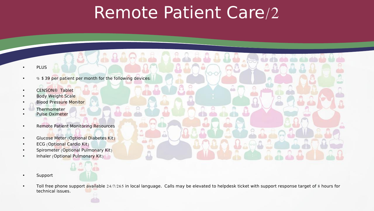### Remote Patient Care/2

- PLUS
- $\bullet$   $\%$  \$39 per patient per month for the following devices:
- CENSON® Tablet
- **Body Weight Scale**
- Blood Pressure Monitor
- **Thermometer**
- Pulse Oximeter
- Remote Patient Monitoring Resources
- Glucose Meter (Optional Diabetes Kit)
- ECG (Optional Cardio Kit)
- Spirometer (Optional Pulmonary Kit)
- Inhaler (Optional Pulmonary Kit)
- Support
- Toll free phone support available 24/7/265 in local language. Calls may be elevated to helpdesk ticket with support response target of 8 hours for technical issues.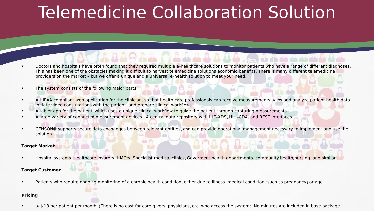# Telemedicine Collaboration Solution

- Doctors and hospitals have often found that they required multiple e-healthcare solutions to monitor patients who have a range of different diagnoses. This has been one of the obstacles making it difficult to harvest telemedicine solutions economic benefits. There is many different telemedicine providers on the market - but we offer a unique and a universal e-health solution to meet your need.
- The system consists of the following major parts:
- A HIPAA compliant web application for the clinician, so that health care professionals can receive measurements, view and analyze patient health data, initiate video consultations with the patient, and prepare clinical workflows.
- A tablet app for the patient, which uses a unique clinical workflow to guide the patient through capturing measurements.
- A large variety of connected measurement devices. A central data repository with IHE-XDS, HL7-CDA, and REST interfaces.
- CENSON® supports secure data exchanges between relevant entities, and can provide operational management necessary to implement and use the solution.

#### **Target Market**

• Hospital systems, Healthcare insurers, HMO's, Specialist medical clinics, Goverment health departments, community health/nursing, and similar.

#### **Target Customer**

• Patients who require ongoing monitoring of a chronic health condition, either due to illness, medical condition (such as pregnancy) or age.

#### **Pricing**

• \$ \$18 per patient per month (There is no cost for care givers, physicians, etc. who access the system) No minutes are included in base package.